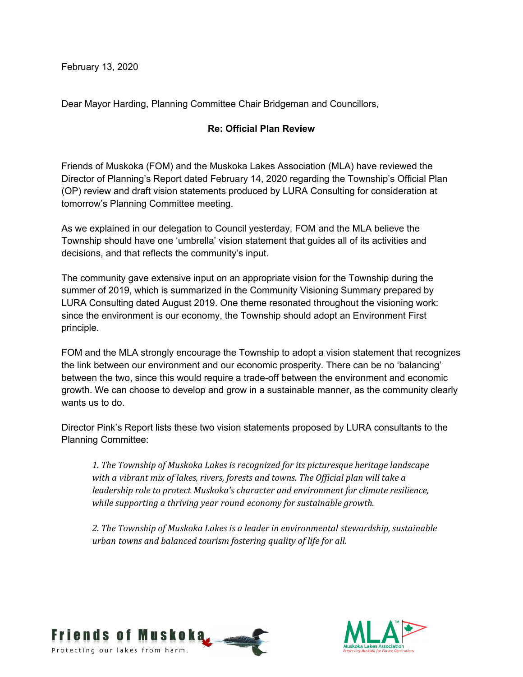February 13, 2020

Dear Mayor Harding, Planning Committee Chair Bridgeman and Councillors,

## **Re: Official Plan Review**

Friends of Muskoka (FOM) and the Muskoka Lakes Association (MLA) have reviewed the Director of Planning's Report dated February 14, 2020 regarding the Township's Official Plan (OP) review and draft vision statements produced by LURA Consulting for consideration at tomorrow's Planning Committee meeting.

As we explained in our delegation to Council yesterday, FOM and the MLA believe the Township should have one 'umbrella' vision statement that guides all of its activities and decisions, and that reflects the community's input.

The community gave extensive input on an appropriate vision for the Township during the summer of 2019, which is summarized in the Community Visioning Summary prepared by LURA Consulting dated August 2019. One theme resonated throughout the visioning work: since the environment is our economy, the Township should adopt an Environment First principle.

FOM and the MLA strongly encourage the Township to adopt a vision statement that recognizes the link between our environment and our economic prosperity. There can be no 'balancing' between the two, since this would require a trade-off between the environment and economic growth. We can choose to develop and grow in a sustainable manner, as the community clearly wants us to do.

Director Pink's Report lists these two vision statements proposed by LURA consultants to the Planning Committee:

1. The Township of Muskoka Lakes is recognized for its picturesque heritage landscape *with a vibrant mix of lakes, rivers, forests and towns. The Official plan will take a leadership role to protect Muskoka's character and environment for climate resilience, while supporting a thriving year round economy for sustainable growth.* 

2. The Township of Muskoka Lakes is a leader in environmental stewardship, sustainable *urban towns and balanced tourism fostering quality of life for all.*